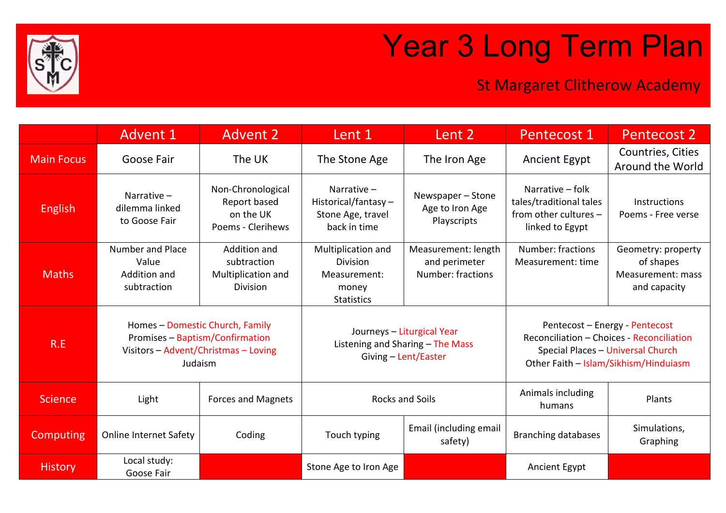

## Year 3 Long Term Plan

## St Margaret Clitherow Academy

|                   | <b>Advent 1</b>                                                                                                       | <b>Advent 2</b>                                                      | Lent 1                                                                                 | Lent 2                                                    | Pentecost 1                                                                                                                                               | <b>Pentecost 2</b>                                                   |
|-------------------|-----------------------------------------------------------------------------------------------------------------------|----------------------------------------------------------------------|----------------------------------------------------------------------------------------|-----------------------------------------------------------|-----------------------------------------------------------------------------------------------------------------------------------------------------------|----------------------------------------------------------------------|
| <b>Main Focus</b> | Goose Fair                                                                                                            | The UK                                                               | The Stone Age                                                                          | The Iron Age                                              | <b>Ancient Egypt</b>                                                                                                                                      | Countries, Cities<br>Around the World                                |
| <b>English</b>    | Narrative $-$<br>dilemma linked<br>to Goose Fair                                                                      | Non-Chronological<br>Report based<br>on the UK<br>Poems - Clerihews  | Narrative-<br>Historical/fantasy-<br>Stone Age, travel<br>back in time                 | Newspaper-Stone<br>Age to Iron Age<br>Playscripts         | Narrative - folk<br>tales/traditional tales<br>from other cultures -<br>linked to Egypt                                                                   | Instructions<br>Poems - Free verse                                   |
| <b>Maths</b>      | <b>Number and Place</b><br>Value<br>Addition and<br>subtraction                                                       | Addition and<br>subtraction<br>Multiplication and<br><b>Division</b> | Multiplication and<br><b>Division</b><br>Measurement:<br>money<br><b>Statistics</b>    | Measurement: length<br>and perimeter<br>Number: fractions | Number: fractions<br>Measurement: time                                                                                                                    | Geometry: property<br>of shapes<br>Measurement: mass<br>and capacity |
| R.E               | Homes - Domestic Church, Family<br>Promises - Baptism/Confirmation<br>Visitors - Advent/Christmas - Loving<br>Judaism |                                                                      | Journeys - Liturgical Year<br>Listening and Sharing - The Mass<br>Giving - Lent/Easter |                                                           | Pentecost - Energy - Pentecost<br>Reconciliation - Choices - Reconciliation<br>Special Places - Universal Church<br>Other Faith - Islam/Sikhism/Hinduiasm |                                                                      |
| <b>Science</b>    | Light                                                                                                                 | <b>Forces and Magnets</b>                                            | <b>Rocks and Soils</b>                                                                 |                                                           | Animals including<br>humans                                                                                                                               | Plants                                                               |
| Computing         | <b>Online Internet Safety</b>                                                                                         | Coding                                                               | Touch typing                                                                           | Email (including email<br>safety)                         | <b>Branching databases</b>                                                                                                                                | Simulations,<br>Graphing                                             |
| <b>History</b>    | Local study:<br>Goose Fair                                                                                            |                                                                      | Stone Age to Iron Age                                                                  |                                                           | <b>Ancient Egypt</b>                                                                                                                                      |                                                                      |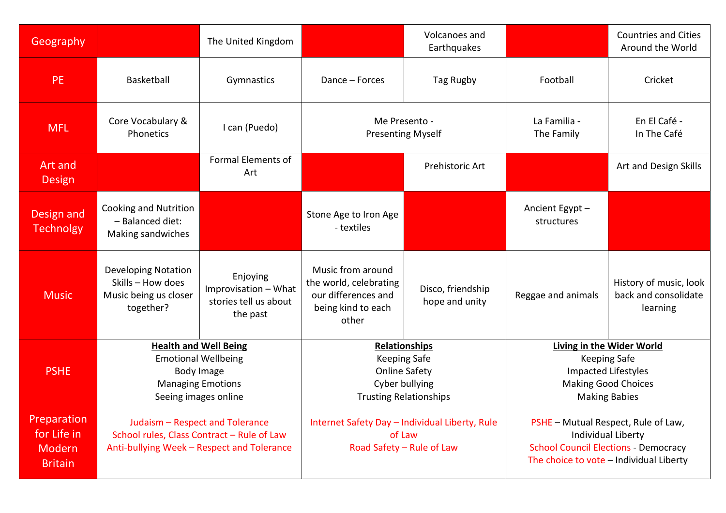| Geography                                              |                                                                                                                              | The United Kingdom                                                    |                                                                                                                 | Volcanoes and<br>Earthquakes        |                                                                                                                                                     | <b>Countries and Cities</b><br>Around the World            |
|--------------------------------------------------------|------------------------------------------------------------------------------------------------------------------------------|-----------------------------------------------------------------------|-----------------------------------------------------------------------------------------------------------------|-------------------------------------|-----------------------------------------------------------------------------------------------------------------------------------------------------|------------------------------------------------------------|
| <b>PE</b>                                              | Basketball                                                                                                                   | Gymnastics                                                            | Dance - Forces                                                                                                  | Tag Rugby                           | Football                                                                                                                                            | Cricket                                                    |
| <b>MFL</b>                                             | Core Vocabulary &<br>Phonetics                                                                                               | I can (Puedo)                                                         | Me Presento -<br><b>Presenting Myself</b>                                                                       |                                     | La Familia -<br>The Family                                                                                                                          | En El Café -<br>In The Café                                |
| Art and<br><b>Design</b>                               |                                                                                                                              | <b>Formal Elements of</b><br>Art                                      |                                                                                                                 | Prehistoric Art                     |                                                                                                                                                     | Art and Design Skills                                      |
| Design and<br><b>Technolgy</b>                         | Cooking and Nutrition<br>- Balanced diet:<br>Making sandwiches                                                               |                                                                       | Stone Age to Iron Age<br>- textiles                                                                             |                                     | Ancient Egypt -<br>structures                                                                                                                       |                                                            |
| <b>Music</b>                                           | <b>Developing Notation</b><br>Skills - How does<br>Music being us closer<br>together?                                        | Enjoying<br>Improvisation - What<br>stories tell us about<br>the past | Music from around<br>the world, celebrating<br>our differences and<br>being kind to each<br>other               | Disco, friendship<br>hope and unity | Reggae and animals                                                                                                                                  | History of music, look<br>back and consolidate<br>learning |
| <b>PSHE</b>                                            | <b>Health and Well Being</b><br><b>Emotional Wellbeing</b><br>Body Image<br><b>Managing Emotions</b><br>Seeing images online |                                                                       | Relationships<br><b>Keeping Safe</b><br><b>Online Safety</b><br>Cyber bullying<br><b>Trusting Relationships</b> |                                     | <b>Living in the Wider World</b><br><b>Keeping Safe</b><br><b>Impacted Lifestyles</b><br><b>Making Good Choices</b><br><b>Making Babies</b>         |                                                            |
| Preparation<br>for Life in<br>Modern<br><b>Britain</b> | Judaism - Respect and Tolerance<br>School rules, Class Contract - Rule of Law<br>Anti-bullying Week - Respect and Tolerance  |                                                                       | Internet Safety Day - Individual Liberty, Rule<br>of Law<br>Road Safety - Rule of Law                           |                                     | PSHE - Mutual Respect, Rule of Law,<br>Individual Liberty<br><b>School Council Elections - Democracy</b><br>The choice to vote - Individual Liberty |                                                            |